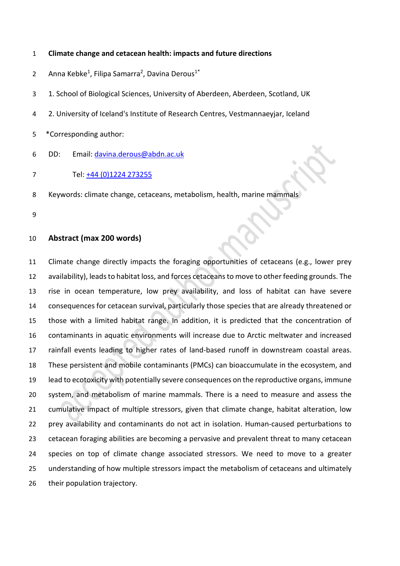## **Climate change and cetacean health: impacts and future directions**

2 Anna Kebke<sup>1</sup>, Filipa Samarra<sup>2</sup>, Davina Derous<sup>1\*</sup>

1. School of Biological Sciences, University of Aberdeen, Aberdeen, Scotland, UK

- 2. University of Iceland's Institute of Research Centres, Vestmannaeyjar, Iceland
- \*Corresponding author:
- 6 DD: Email: [davina.derous@abdn.ac.uk](mailto:davina.derous@abdn.ac.uk)
- Tel: [+44 \(0\)1224 273](about:blank)255
- Keywords: climate change, cetaceans, metabolism, health, marine mammals
- 

## **Abstract (max 200 words)**

 Climate change directly impacts the foraging opportunities of cetaceans (e.g., lower prey availability), leads to habitat loss, and forces cetaceans to move to other feeding grounds. The rise in ocean temperature, low prey availability, and loss of habitat can have severe consequences for cetacean survival, particularly those species that are already threatened or those with a limited habitat range. In addition, it is predicted that the concentration of contaminants in aquatic environments will increase due to Arctic meltwater and increased rainfall events leading to higher rates of land-based runoff in downstream coastal areas. These persistent and mobile contaminants (PMCs) can bioaccumulate in the ecosystem, and lead to ecotoxicity with potentially severe consequences on the reproductive organs, immune system, and metabolism of marine mammals. There is a need to measure and assess the cumulative impact of multiple stressors, given that climate change, habitat alteration, low prey availability and contaminants do not act in isolation. Human-caused perturbations to cetacean foraging abilities are becoming a pervasive and prevalent threat to many cetacean species on top of climate change associated stressors. We need to move to a greater understanding of how multiple stressors impact the metabolism of cetaceans and ultimately their population trajectory.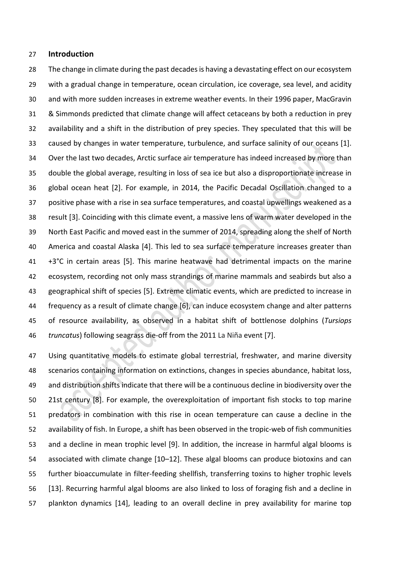### **Introduction**

 The change in climate during the past decades is having a devastating effect on our ecosystem with a gradual change in temperature, ocean circulation, ice coverage, sea level, and acidity and with more sudden increases in extreme weather events. In their 1996 paper, MacGravin & Simmonds predicted that climate change will affect cetaceans by both a reduction in prey availability and a shift in the distribution of prey species. They speculated that this will be caused by changes in water temperature, turbulence, and surface salinity of our oceans [1]. Over the last two decades, Arctic surface air temperature has indeed increased by more than double the global average, resulting in loss of sea ice but also a disproportionate increase in global ocean heat [2]. For example, in 2014, the Pacific Decadal Oscillation changed to a positive phase with a rise in sea surface temperatures, and coastal upwellings weakened as a result [3]. Coinciding with this climate event, a massive lens of warm water developed in the North East Pacific and moved east in the summer of 2014, spreading along the shelf of North America and coastal Alaska [4]. This led to sea surface temperature increases greater than +3°C in certain areas [5]. This marine heatwave had detrimental impacts on the marine ecosystem, recording not only mass strandings of marine mammals and seabirds but also a geographical shift of species [5]. Extreme climatic events, which are predicted to increase in frequency as a result of climate change [6], can induce ecosystem change and alter patterns of resource availability, as observed in a habitat shift of bottlenose dolphins (*Tursiops truncatus*) following seagrass die-off from the 2011 La Niña event [7].

 Using quantitative models to estimate global terrestrial, freshwater, and marine diversity scenarios containing information on extinctions, changes in species abundance, habitat loss, and distribution shifts indicate that there will be a continuous decline in biodiversity over the 21st century [8]. For example, the overexploitation of important fish stocks to top marine predators in combination with this rise in ocean temperature can cause a decline in the availability of fish. In Europe, a shift has been observed in the tropic-web of fish communities and a decline in mean trophic level [9]. In addition, the increase in harmful algal blooms is associated with climate change [10–12]. These algal blooms can produce biotoxins and can further bioaccumulate in filter-feeding shellfish, transferring toxins to higher trophic levels [13]. Recurring harmful algal blooms are also linked to loss of foraging fish and a decline in plankton dynamics [14], leading to an overall decline in prey availability for marine top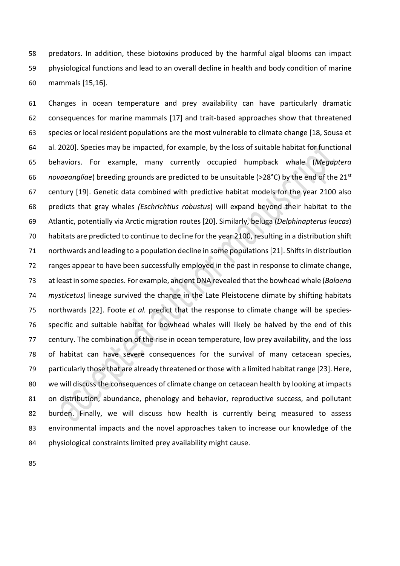predators. In addition, these biotoxins produced by the harmful algal blooms can impact physiological functions and lead to an overall decline in health and body condition of marine mammals [15,16].

 Changes in ocean temperature and prey availability can have particularly dramatic consequences for marine mammals [17] and trait-based approaches show that threatened species or local resident populations are the most vulnerable to climate change [18, Sousa et al. 2020]. Species may be impacted, for example, by the loss of suitable habitat for functional behaviors. For example, many currently occupied humpback whale (*Megaptera novaeangliae*) breeding grounds are predicted to be unsuitable (>28°C) by the end of the 21<sup>st</sup> century [19]. Genetic data combined with predictive habitat models for the year 2100 also predicts that gray whales *(Eschrichtius robustus*) will expand beyond their habitat to the Atlantic, potentially via Arctic migration routes [20]. Similarly, beluga (*Delphinapterus leucas*) habitats are predicted to continue to decline for the year 2100, resulting in a distribution shift northwards and leading to a population decline in some populations[21]. Shifts in distribution ranges appear to have been successfully employed in the past in response to climate change, at least in some species. For example, ancient DNA revealed that the bowhead whale (*Balaena mysticetus*) lineage survived the change in the Late Pleistocene climate by shifting habitats northwards [22]. Foote *et al.* predict that the response to climate change will be species- specific and suitable habitat for bowhead whales will likely be halved by the end of this century. The combination of the rise in ocean temperature, low prey availability, and the loss of habitat can have severe consequences for the survival of many cetacean species, particularly those that are already threatened or those with a limited habitat range [23]. Here, we will discuss the consequences of climate change on cetacean health by looking at impacts on distribution, abundance, phenology and behavior, reproductive success, and pollutant burden. Finally, we will discuss how health is currently being measured to assess environmental impacts and the novel approaches taken to increase our knowledge of the physiological constraints limited prey availability might cause.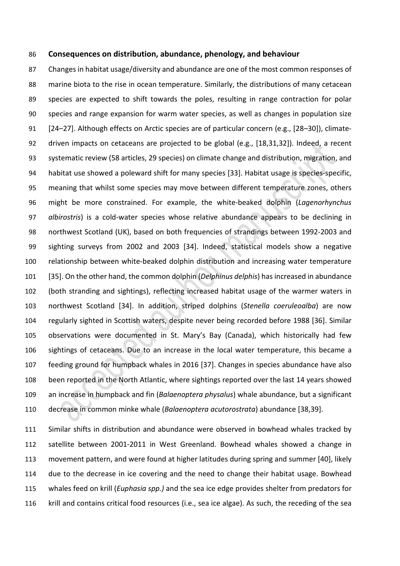### **Consequences on distribution, abundance, phenology, and behaviour**

 Changes in habitat usage/diversity and abundance are one of the most common responses of marine biota to the rise in ocean temperature. Similarly, the distributions of many cetacean species are expected to shift towards the poles, resulting in range contraction for polar species and range expansion for warm water species, as well as changes in population size [24–27]. Although effects on Arctic species are of particular concern (e.g., [28–30]), climate- driven impacts on cetaceans are projected to be global (e.g., [18,31,32]). Indeed, a recent systematic review (58 articles, 29 species) on climate change and distribution, migration, and habitat use showed a poleward shift for many species [33]. Habitat usage is species-specific, meaning that whilst some species may move between different temperature zones, others might be more constrained. For example, the white-beaked dolphin (*Lagenorhynchus albirostris*) is a cold-water species whose relative abundance appears to be declining in northwest Scotland (UK), based on both frequencies of strandings between 1992-2003 and sighting surveys from 2002 and 2003 [34]. Indeed, statistical models show a negative relationship between white-beaked dolphin distribution and increasing water temperature [35]. On the other hand, the common dolphin (*Delphinus delphis*) has increased in abundance (both stranding and sightings), reflecting increased habitat usage of the warmer waters in northwest Scotland [34]. In addition, striped dolphins (*Stenella coeruleoalba*) are now regularly sighted in Scottish waters, despite never being recorded before 1988 [36]. Similar observations were documented in St. Mary's Bay (Canada), which historically had few sightings of cetaceans. Due to an increase in the local water temperature, this became a feeding ground for humpback whales in 2016 [37]. Changes in species abundance have also been reported in the North Atlantic, where sightings reported over the last 14 years showed an increase in humpback and fin (*Balaenoptera physalus*) whale abundance, but a significant decrease in common minke whale (*Balaenoptera acutorostrata*) abundance [38,39].

 Similar shifts in distribution and abundance were observed in bowhead whales tracked by satellite between 2001-2011 in West Greenland. Bowhead whales showed a change in movement pattern, and were found at higher latitudes during spring and summer [40], likely due to the decrease in ice covering and the need to change their habitat usage. Bowhead whales feed on krill (*Euphasia spp.)* and the sea ice edge provides shelter from predators for krill and contains critical food resources (i.e., sea ice algae). As such, the receding of the sea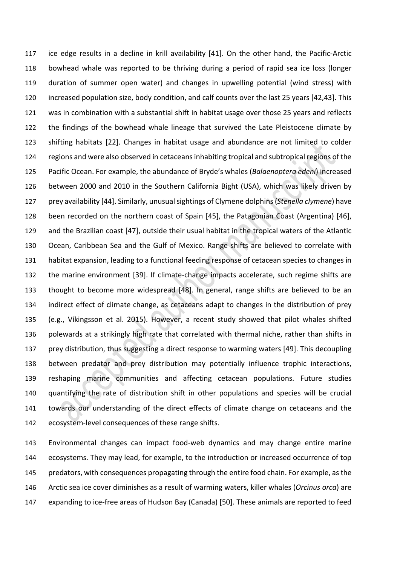ice edge results in a decline in krill availability [41]. On the other hand, the Pacific-Arctic bowhead whale was reported to be thriving during a period of rapid sea ice loss (longer duration of summer open water) and changes in upwelling potential (wind stress) with increased population size, body condition, and calf counts over the last 25 years [42,43]. This was in combination with a substantial shift in habitat usage over those 25 years and reflects the findings of the bowhead whale lineage that survived the Late Pleistocene climate by shifting habitats [22]. Changes in habitat usage and abundance are not limited to colder regions and were also observed in cetaceans inhabiting tropical and subtropical regions of the Pacific Ocean. For example, the abundance of Bryde's whales (*Balaenoptera edeni*) increased between 2000 and 2010 in the Southern California Bight (USA), which was likely driven by prey availability [44]. Similarly, unusual sightings of Clymene dolphins (*Stenella clymene*) have been recorded on the northern coast of Spain [45], the Patagonian Coast (Argentina) [46], and the Brazilian coast [47], outside their usual habitat in the tropical waters of the Atlantic Ocean, Caribbean Sea and the Gulf of Mexico. Range shifts are believed to correlate with habitat expansion, leading to a functional feeding response of cetacean species to changes in the marine environment [39]. If climate-change impacts accelerate, such regime shifts are thought to become more widespread [48]. In general, range shifts are believed to be an indirect effect of climate change, as cetaceans adapt to changes in the distribution of prey (e.g., Víkingsson et al. 2015). However, a recent study showed that pilot whales shifted polewards at a strikingly high rate that correlated with thermal niche, rather than shifts in prey distribution, thus suggesting a direct response to warming waters [49]. This decoupling between predator and prey distribution may potentially influence trophic interactions, reshaping marine communities and affecting cetacean populations. Future studies quantifying the rate of distribution shift in other populations and species will be crucial towards our understanding of the direct effects of climate change on cetaceans and the ecosystem-level consequences of these range shifts.

 Environmental changes can impact food-web dynamics and may change entire marine ecosystems. They may lead, for example, to the introduction or increased occurrence of top predators, with consequences propagating through the entire food chain. For example, as the Arctic sea ice cover diminishes as a result of warming waters, killer whales (*Orcinus orca*) are expanding to ice-free areas of Hudson Bay (Canada) [50]. These animals are reported to feed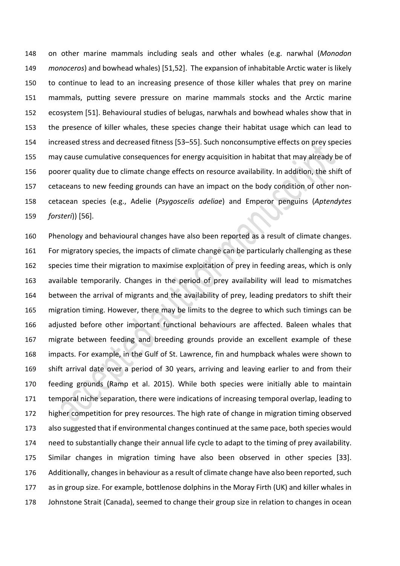on other marine mammals including seals and other whales (e.g. narwhal (*Monodon monoceros*) and bowhead whales) [51,52]. The expansion of inhabitable Arctic water is likely to continue to lead to an increasing presence of those killer whales that prey on marine mammals, putting severe pressure on marine mammals stocks and the Arctic marine ecosystem [51]. Behavioural studies of belugas, narwhals and bowhead whales show that in the presence of killer whales, these species change their habitat usage which can lead to increased stress and decreased fitness [53–55]. Such nonconsumptive effects on prey species may cause cumulative consequences for energy acquisition in habitat that may already be of poorer quality due to climate change effects on resource availability. In addition, the shift of cetaceans to new feeding grounds can have an impact on the body condition of other non- cetacean species (e.g., Adelie (*Psygoscelis adeliae*) and Emperor penguins (*Aptendytes forsteri*)) [56].

 Phenology and behavioural changes have also been reported as a result of climate changes. For migratory species, the impacts of climate change can be particularly challenging as these species time their migration to maximise exploitation of prey in feeding areas, which is only available temporarily. Changes in the period of prey availability will lead to mismatches between the arrival of migrants and the availability of prey, leading predators to shift their migration timing. However, there may be limits to the degree to which such timings can be adjusted before other important functional behaviours are affected. Baleen whales that migrate between feeding and breeding grounds provide an excellent example of these impacts. For example, in the Gulf of St. Lawrence, fin and humpback whales were shown to shift arrival date over a period of 30 years, arriving and leaving earlier to and from their feeding grounds (Ramp et al. 2015). While both species were initially able to maintain temporal niche separation, there were indications of increasing temporal overlap, leading to higher competition for prey resources. The high rate of change in migration timing observed also suggested that if environmental changes continued at the same pace, both species would need to substantially change their annual life cycle to adapt to the timing of prey availability. Similar changes in migration timing have also been observed in other species [33]. Additionally, changes in behaviour as a result of climate change have also been reported, such as in group size. For example, bottlenose dolphins in the Moray Firth (UK) and killer whales in Johnstone Strait (Canada), seemed to change their group size in relation to changes in ocean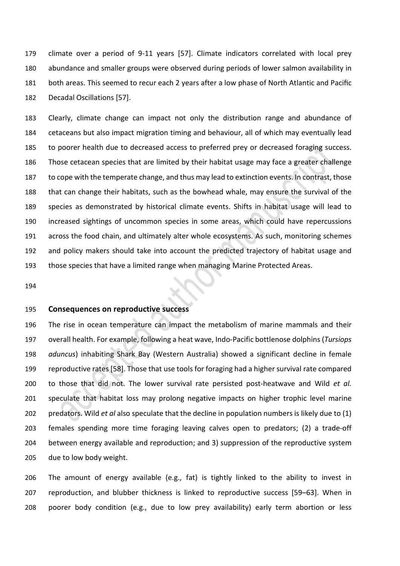climate over a period of 9-11 years [57]. Climate indicators correlated with local prey abundance and smaller groups were observed during periods of lower salmon availability in both areas. This seemed to recur each 2 years after a low phase of North Atlantic and Pacific Decadal Oscillations [57].

 Clearly, climate change can impact not only the distribution range and abundance of cetaceans but also impact migration timing and behaviour, all of which may eventually lead to poorer health due to decreased access to preferred prey or decreased foraging success. Those cetacean species that are limited by their habitat usage may face a greater challenge to cope with the temperate change, and thus may lead to extinction events. In contrast, those that can change their habitats, such as the bowhead whale, may ensure the survival of the species as demonstrated by historical climate events. Shifts in habitat usage will lead to increased sightings of uncommon species in some areas, which could have repercussions across the food chain, and ultimately alter whole ecosystems. As such, monitoring schemes and policy makers should take into account the predicted trajectory of habitat usage and those species that have a limited range when managing Marine Protected Areas.

## **Consequences on reproductive success**

 The rise in ocean temperature can impact the metabolism of marine mammals and their overall health. For example, following a heat wave, Indo-Pacific bottlenose dolphins (*Tursiops aduncus*) inhabiting Shark Bay (Western Australia) showed a significant decline in female reproductive rates [58]. Those that use tools for foraging had a higher survival rate compared to those that did not. The lower survival rate persisted post-heatwave and Wild *et al.* speculate that habitat loss may prolong negative impacts on higher trophic level marine predators. Wild *et al* also speculate that the decline in population numbers is likely due to (1) females spending more time foraging leaving calves open to predators; (2) a trade-off between energy available and reproduction; and 3) suppression of the reproductive system due to low body weight.

 The amount of energy available (e.g., fat) is tightly linked to the ability to invest in reproduction, and blubber thickness is linked to reproductive success [59–63]. When in poorer body condition (e.g., due to low prey availability) early term abortion or less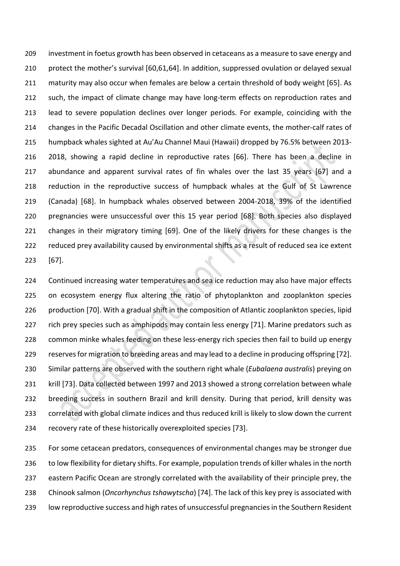investment in foetus growth has been observed in cetaceans as a measure to save energy and protect the mother's survival [60,61,64]. In addition, suppressed ovulation or delayed sexual maturity may also occur when females are below a certain threshold of body weight [65]. As such, the impact of climate change may have long-term effects on reproduction rates and lead to severe population declines over longer periods. For example, coinciding with the changes in the Pacific Decadal Oscillation and other climate events, the mother-calf rates of humpback whales sighted at Au'Au Channel Maui (Hawaii) dropped by 76.5% between 2013- 2018, showing a rapid decline in reproductive rates [66]. There has been a decline in abundance and apparent survival rates of fin whales over the last 35 years [67] and a reduction in the reproductive success of humpback whales at the Gulf of St Lawrence (Canada) [68]. In humpback whales observed between 2004-2018, 39% of the identified pregnancies were unsuccessful over this 15 year period [68]. Both species also displayed changes in their migratory timing [69]. One of the likely drivers for these changes is the reduced prey availability caused by environmental shifts as a result of reduced sea ice extent [67].

 Continued increasing water temperatures and sea ice reduction may also have major effects on ecosystem energy flux altering the ratio of phytoplankton and zooplankton species production [70]. With a gradual shift in the composition of Atlantic zooplankton species, lipid 227 rich prey species such as amphipods may contain less energy [71]. Marine predators such as common minke whales feeding on these less-energy rich species then fail to build up energy reserves for migration to breeding areas and may lead to a decline in producing offspring [72]. Similar patterns are observed with the southern right whale (*Eubalaena australis*) preying on krill [73]. Data collected between 1997 and 2013 showed a strong correlation between whale breeding success in southern Brazil and krill density. During that period, krill density was correlated with global climate indices and thus reduced krill is likely to slow down the current recovery rate of these historically overexploited species [73].

 For some cetacean predators, consequences of environmental changes may be stronger due to low flexibility for dietary shifts. For example, population trends of killer whales in the north eastern Pacific Ocean are strongly correlated with the availability of their principle prey, the Chinook salmon (*Oncorhynchus tshawytscha*) [74]. The lack of this key prey is associated with low reproductive success and high rates of unsuccessful pregnancies in the Southern Resident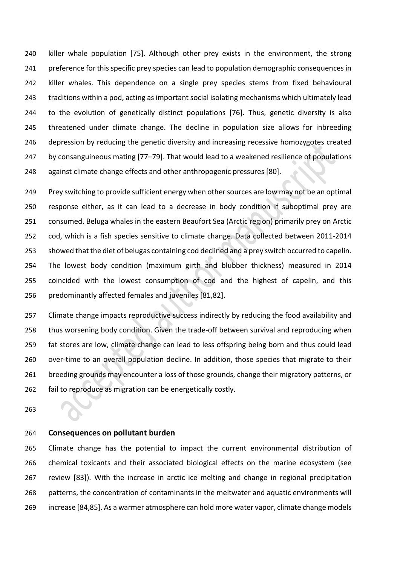killer whale population [75]. Although other prey exists in the environment, the strong 241 preference for this specific prey species can lead to population demographic consequences in killer whales. This dependence on a single prey species stems from fixed behavioural traditions within a pod, acting as important social isolating mechanisms which ultimately lead 244 to the evolution of genetically distinct populations [76]. Thus, genetic diversity is also threatened under climate change. The decline in population size allows for inbreeding 246 depression by reducing the genetic diversity and increasing recessive homozygotes created 247 by consanguineous mating [77-79]. That would lead to a weakened resilience of populations against climate change effects and other anthropogenic pressures [80].

 Prey switching to provide sufficient energy when other sources are low may not be an optimal response either, as it can lead to a decrease in body condition if suboptimal prey are consumed. Beluga whales in the eastern Beaufort Sea (Arctic region) primarily prey on Arctic cod, which is a fish species sensitive to climate change. Data collected between 2011-2014 showed that the diet of belugas containing cod declined and a prey switch occurred to capelin. The lowest body condition (maximum girth and blubber thickness) measured in 2014 coincided with the lowest consumption of cod and the highest of capelin, and this predominantly affected females and juveniles [81,82].

257 Climate change impacts reproductive success indirectly by reducing the food availability and thus worsening body condition. Given the trade-off between survival and reproducing when fat stores are low, climate change can lead to less offspring being born and thus could lead over-time to an overall population decline. In addition, those species that migrate to their 261 breeding grounds may encounter a loss of those grounds, change their migratory patterns, or fail to reproduce as migration can be energetically costly.

# **Consequences on pollutant burden**

 Climate change has the potential to impact the current environmental distribution of chemical toxicants and their associated biological effects on the marine ecosystem (see review [83]). With the increase in arctic ice melting and change in regional precipitation patterns, the concentration of contaminants in the meltwater and aquatic environments will increase [84,85]. As a warmer atmosphere can hold more water vapor, climate change models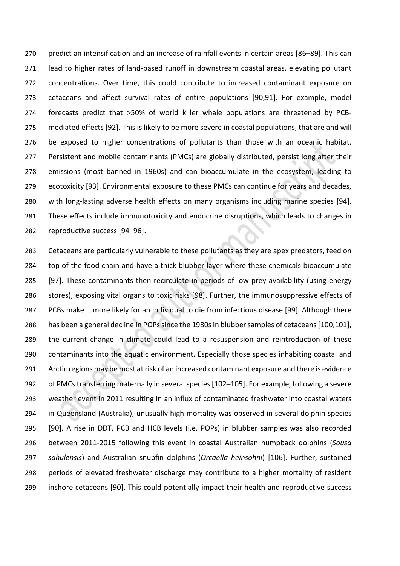predict an intensification and an increase of rainfall events in certain areas [86–89]. This can lead to higher rates of land-based runoff in downstream coastal areas, elevating pollutant concentrations. Over time, this could contribute to increased contaminant exposure on cetaceans and affect survival rates of entire populations [90,91]. For example, model forecasts predict that >50% of world killer whale populations are threatened by PCB- mediated effects [92]. This is likely to be more severe in coastal populations, that are and will be exposed to higher concentrations of pollutants than those with an oceanic habitat. 277 Persistent and mobile contaminants (PMCs) are globally distributed, persist long after their emissions (most banned in 1960s) and can bioaccumulate in the ecosystem, leading to ecotoxicity [93]. Environmental exposure to these PMCs can continue for years and decades, with long-lasting adverse health effects on many organisms including marine species [94]. These effects include immunotoxicity and endocrine disruptions, which leads to changes in reproductive success [94–96].

 Cetaceans are particularly vulnerable to these pollutants as they are apex predators, feed on top of the food chain and have a thick blubber layer where these chemicals bioaccumulate [97]. These contaminants then recirculate in periods of low prey availability (using energy stores), exposing vital organs to toxic risks [98]. Further, the immunosuppressive effects of PCBs make it more likely for an individual to die from infectious disease [99]. Although there has been a general decline in POPs since the 1980s in blubber samples of cetaceans[100,101], the current change in climate could lead to a resuspension and reintroduction of these contaminants into the aquatic environment. Especially those species inhabiting coastal and Arctic regions may be most at risk of an increased contaminant exposure and there is evidence of PMCs transferring maternally in several species[102–105]. For example, following a severe weather event in 2011 resulting in an influx of contaminated freshwater into coastal waters in Queensland (Australia), unusually high mortality was observed in several dolphin species [90]. A rise in DDT, PCB and HCB levels (i.e. POPs) in blubber samples was also recorded between 2011-2015 following this event in coastal Australian humpback dolphins (*Sousa sahulensis*) and Australian snubfin dolphins (*Orcaella heinsohni*) [106]. Further, sustained periods of elevated freshwater discharge may contribute to a higher mortality of resident inshore cetaceans [90]. This could potentially impact their health and reproductive success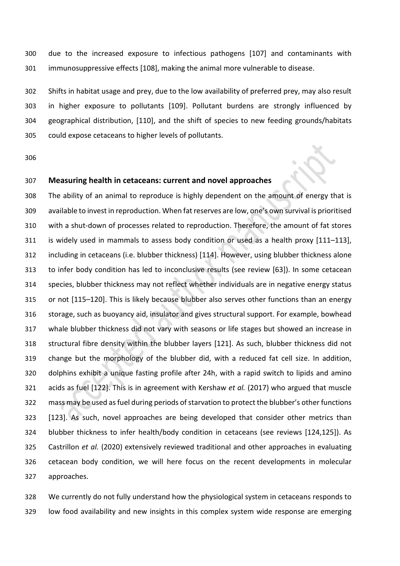due to the increased exposure to infectious pathogens [107] and contaminants with immunosuppressive effects [108], making the animal more vulnerable to disease.

 Shifts in habitat usage and prey, due to the low availability of preferred prey, may also result in higher exposure to pollutants [109]. Pollutant burdens are strongly influenced by geographical distribution, [110], and the shift of species to new feeding grounds/habitats could expose cetaceans to higher levels of pollutants.

# **Measuring health in cetaceans: current and novel approaches**

 The ability of an animal to reproduce is highly dependent on the amount of energy that is available to invest in reproduction. When fat reserves are low, one's own survival is prioritised with a shut-down of processes related to reproduction. Therefore, the amount of fat stores is widely used in mammals to assess body condition or used as a health proxy [111–113], including in cetaceans (i.e. blubber thickness) [114]. However, using blubber thickness alone to infer body condition has led to inconclusive results (see review [63]). In some cetacean species, blubber thickness may not reflect whether individuals are in negative energy status or not [115–120]. This is likely because blubber also serves other functions than an energy storage, such as buoyancy aid, insulator and gives structural support. For example, bowhead whale blubber thickness did not vary with seasons or life stages but showed an increase in structural fibre density within the blubber layers [121]. As such, blubber thickness did not change but the morphology of the blubber did, with a reduced fat cell size. In addition, dolphins exhibit a unique fasting profile after 24h, with a rapid switch to lipids and amino acids as fuel [122]. This is in agreement with Kershaw *et al.* (2017) who argued that muscle mass may be used as fuel during periods of starvation to protect the blubber's other functions [123]. As such, novel approaches are being developed that consider other metrics than blubber thickness to infer health/body condition in cetaceans (see reviews [124,125]). As Castrillon *et al.* (2020) extensively reviewed traditional and other approaches in evaluating cetacean body condition, we will here focus on the recent developments in molecular approaches.

 We currently do not fully understand how the physiological system in cetaceans responds to low food availability and new insights in this complex system wide response are emerging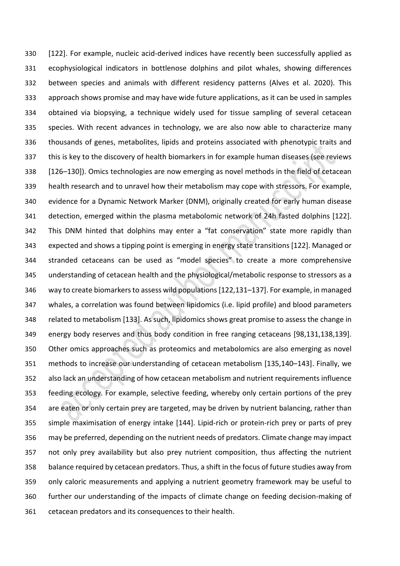[122]. For example, nucleic acid-derived indices have recently been successfully applied as ecophysiological indicators in bottlenose dolphins and pilot whales, showing differences between species and animals with different residency patterns (Alves et al. 2020). This approach shows promise and may have wide future applications, as it can be used in samples obtained via biopsying, a technique widely used for tissue sampling of several cetacean species. With recent advances in technology, we are also now able to characterize many thousands of genes, metabolites, lipids and proteins associated with phenotypic traits and this is key to the discovery of health biomarkers in for example human diseases (see reviews [126–130]). Omics technologies are now emerging as novel methods in the field of cetacean health research and to unravel how their metabolism may cope with stressors. For example, evidence for a Dynamic Network Marker (DNM), originally created for early human disease detection, emerged within the plasma metabolomic network of 24h fasted dolphins [122]. This DNM hinted that dolphins may enter a "fat conservation" state more rapidly than expected and shows a tipping point is emerging in energy state transitions [122]. Managed or stranded cetaceans can be used as "model species" to create a more comprehensive understanding of cetacean health and the physiological/metabolic response to stressors as a way to create biomarkers to assess wild populations [122,131–137]. For example, in managed whales, a correlation was found between lipidomics (i.e. lipid profile) and blood parameters related to metabolism [133]. As such, lipidomics shows great promise to assess the change in energy body reserves and thus body condition in free ranging cetaceans [98,131,138,139]. Other omics approaches such as proteomics and metabolomics are also emerging as novel methods to increase our understanding of cetacean metabolism [135,140–143]. Finally, we also lack an understanding of how cetacean metabolism and nutrient requirements influence feeding ecology. For example, selective feeding, whereby only certain portions of the prey are eaten or only certain prey are targeted, may be driven by nutrient balancing, rather than simple maximisation of energy intake [144]. Lipid-rich or protein-rich prey or parts of prey may be preferred, depending on the nutrient needs of predators. Climate change may impact not only prey availability but also prey nutrient composition, thus affecting the nutrient balance required by cetacean predators. Thus, a shift in the focus of future studies away from only caloric measurements and applying a nutrient geometry framework may be useful to further our understanding of the impacts of climate change on feeding decision-making of cetacean predators and its consequences to their health.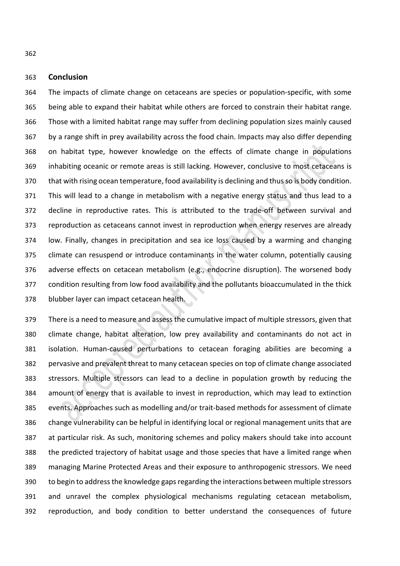**Conclusion**

 The impacts of climate change on cetaceans are species or population-specific, with some being able to expand their habitat while others are forced to constrain their habitat range. Those with a limited habitat range may suffer from declining population sizes mainly caused by a range shift in prey availability across the food chain. Impacts may also differ depending on habitat type, however knowledge on the effects of climate change in populations inhabiting oceanic or remote areas is still lacking. However, conclusive to most cetaceans is that with rising ocean temperature, food availability is declining and thus so is body condition. This will lead to a change in metabolism with a negative energy status and thus lead to a decline in reproductive rates. This is attributed to the trade-off between survival and reproduction as cetaceans cannot invest in reproduction when energy reserves are already low. Finally, changes in precipitation and sea ice loss caused by a warming and changing climate can resuspend or introduce contaminants in the water column, potentially causing adverse effects on cetacean metabolism (e.g., endocrine disruption). The worsened body condition resulting from low food availability and the pollutants bioaccumulated in the thick blubber layer can impact cetacean health.

 There is a need to measure and assess the cumulative impact of multiple stressors, given that climate change, habitat alteration, low prey availability and contaminants do not act in isolation. Human-caused perturbations to cetacean foraging abilities are becoming a pervasive and prevalent threat to many cetacean species on top of climate change associated stressors. Multiple stressors can lead to a decline in population growth by reducing the amount of energy that is available to invest in reproduction, which may lead to extinction events. Approaches such as modelling and/or trait-based methods for assessment of climate change vulnerability can be helpful in identifying local or regional management units that are at particular risk. As such, monitoring schemes and policy makers should take into account the predicted trajectory of habitat usage and those species that have a limited range when managing Marine Protected Areas and their exposure to anthropogenic stressors. We need to begin to address the knowledge gaps regarding the interactions between multiple stressors and unravel the complex physiological mechanisms regulating cetacean metabolism, reproduction, and body condition to better understand the consequences of future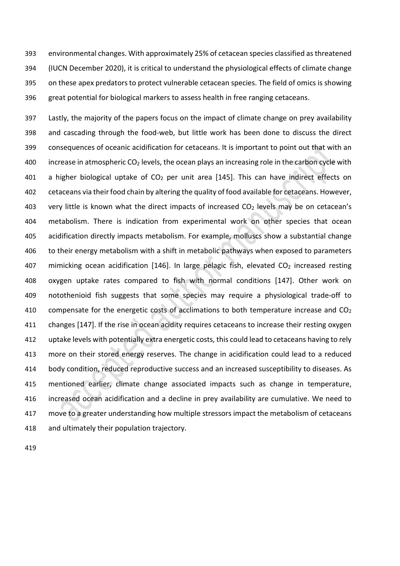environmental changes. With approximately 25% of cetacean species classified as threatened (IUCN December 2020), it is critical to understand the physiological effects of climate change on these apex predators to protect vulnerable cetacean species. The field of omics is showing great potential for biological markers to assess health in free ranging cetaceans.

 Lastly, the majority of the papers focus on the impact of climate change on prey availability and cascading through the food-web, but little work has been done to discuss the direct consequences of oceanic acidification for cetaceans. It is important to point out that with an 400 increase in atmospheric  $CO<sub>2</sub>$  levels, the ocean plays an increasing role in the carbon cycle with 401 a higher biological uptake of  $CO<sub>2</sub>$  per unit area [145]. This can have indirect effects on cetaceans via their food chain by altering the quality of food available for cetaceans. However, 403 very little is known what the direct impacts of increased  $CO<sub>2</sub>$  levels may be on cetacean's metabolism. There is indication from experimental work on other species that ocean acidification directly impacts metabolism. For example, molluscs show a substantial change to their energy metabolism with a shift in metabolic pathways when exposed to parameters 407 mimicking ocean acidification [146]. In large pelagic fish, elevated  $CO<sub>2</sub>$  increased resting oxygen uptake rates compared to fish with normal conditions [147]. Other work on notothenioid fish suggests that some species may require a physiological trade-off to 410 compensate for the energetic costs of acclimations to both temperature increase and  $CO<sub>2</sub>$  changes [147]. If the rise in ocean acidity requires cetaceans to increase their resting oxygen uptake levels with potentially extra energetic costs, this could lead to cetaceans having to rely more on their stored energy reserves. The change in acidification could lead to a reduced body condition, reduced reproductive success and an increased susceptibility to diseases. As mentioned earlier, climate change associated impacts such as change in temperature, increased ocean acidification and a decline in prey availability are cumulative. We need to 417 move to a greater understanding how multiple stressors impact the metabolism of cetaceans and ultimately their population trajectory.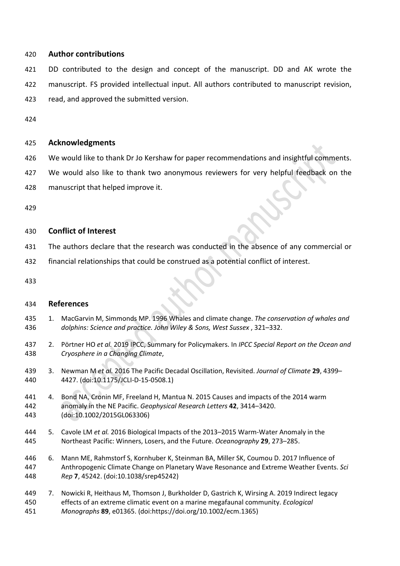# **Author contributions**

 DD contributed to the design and concept of the manuscript. DD and AK wrote the manuscript. FS provided intellectual input. All authors contributed to manuscript revision, read, and approved the submitted version.

# **Acknowledgments**

- We would like to thank Dr Jo Kershaw for paper recommendations and insightful comments.
- We would also like to thank two anonymous reviewers for very helpful feedback on the
- manuscript that helped improve it.

# **Conflict of Interest**

- The authors declare that the research was conducted in the absence of any commercial or
- financial relationships that could be construed as a potential conflict of interest.

## **References**

- 1. MacGarvin M, Simmonds MP. 1996 Whales and climate change. *The conservation of whales and dolphins: Science and practice. John Wiley & Sons, West Sussex* , 321–332.
- 2. Pörtner HO *et al.* 2019 IPCC, Summary for Policymakers. In *IPCC Special Report on the Ocean and Cryosphere in a Changing Climate*,
- 3. Newman M *et al.* 2016 The Pacific Decadal Oscillation, Revisited. *Journal of Climate* **29**, 4399– 4427. (doi:10.1175/JCLI-D-15-0508.1)
- 4. Bond NA, Cronin MF, Freeland H, Mantua N. 2015 Causes and impacts of the 2014 warm anomaly in the NE Pacific. *Geophysical Research Letters* **42**, 3414–3420. (doi:10.1002/2015GL063306)
- 5. Cavole LM *et al.* 2016 Biological Impacts of the 2013–2015 Warm-Water Anomaly in the Northeast Pacific: Winners, Losers, and the Future. *Oceanography* **29**, 273–285.
- 6. Mann ME, Rahmstorf S, Kornhuber K, Steinman BA, Miller SK, Coumou D. 2017 Influence of Anthropogenic Climate Change on Planetary Wave Resonance and Extreme Weather Events. *Sci Rep* **7**, 45242. (doi:10.1038/srep45242)
- 7. Nowicki R, Heithaus M, Thomson J, Burkholder D, Gastrich K, Wirsing A. 2019 Indirect legacy effects of an extreme climatic event on a marine megafaunal community. *Ecological Monographs* **89**, e01365. (doi:https://doi.org/10.1002/ecm.1365)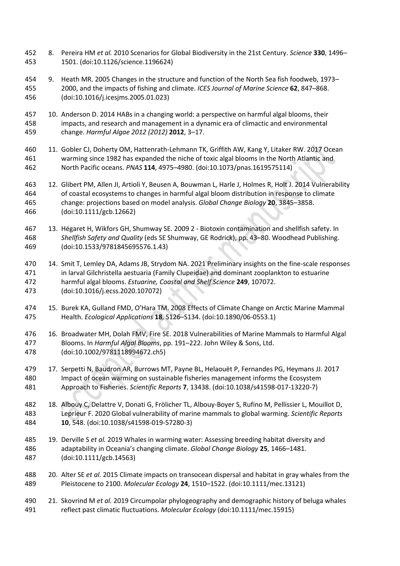- 8. Pereira HM *et al.* 2010 Scenarios for Global Biodiversity in the 21st Century. *Science* **330**, 1496– 1501. (doi:10.1126/science.1196624)
- 9. Heath MR. 2005 Changes in the structure and function of the North Sea fish foodweb, 1973– 2000, and the impacts of fishing and climate. *ICES Journal of Marine Science* **62**, 847–868. (doi:10.1016/j.icesjms.2005.01.023)
- 10. Anderson D. 2014 HABs in a changing world: a perspective on harmful algal blooms, their impacts, and research and management in a dynamic era of climactic and environmental change. *Harmful Algae 2012 (2012)* **2012**, 3–17.
- 11. Gobler CJ, Doherty OM, Hattenrath-Lehmann TK, Griffith AW, Kang Y, Litaker RW. 2017 Ocean warming since 1982 has expanded the niche of toxic algal blooms in the North Atlantic and North Pacific oceans. *PNAS* **114**, 4975–4980. (doi:10.1073/pnas.1619575114)
- 12. Glibert PM, Allen JI, Artioli Y, Beusen A, Bouwman L, Harle J, Holmes R, Holt J. 2014 Vulnerability of coastal ecosystems to changes in harmful algal bloom distribution in response to climate change: projections based on model analysis. *Global Change Biology* **20**, 3845–3858. (doi:10.1111/gcb.12662)
- 13. Hégaret H, Wikfors GH, Shumway SE. 2009 2 Biotoxin contamination and shellfish safety. In *Shellfish Safety and Quality* (eds SE Shumway, GE Rodrick), pp. 43–80. Woodhead Publishing. (doi:10.1533/9781845695576.1.43)
- 14. Smit T, Lemley DA, Adams JB, Strydom NA. 2021 Preliminary insights on the fine-scale responses in larval Gilchristella aestuaria (Family Clupeidae) and dominant zooplankton to estuarine harmful algal blooms. *Estuarine, Coastal and Shelf Science* **249**, 107072. (doi:10.1016/j.ecss.2020.107072)
- 15. Burek KA, Gulland FMD, O'Hara TM. 2008 Effects of Climate Change on Arctic Marine Mammal Health. *Ecological Applications* **18**, S126–S134. (doi:10.1890/06-0553.1)
- 16. Broadwater MH, Dolah FMV, Fire SE. 2018 Vulnerabilities of Marine Mammals to Harmful Algal Blooms. In *Harmful Algal Blooms*, pp. 191–222. John Wiley & Sons, Ltd. (doi:10.1002/9781118994672.ch5)
- 17. Serpetti N, Baudron AR, Burrows MT, Payne BL, Helaouët P, Fernandes PG, Heymans JJ. 2017 Impact of ocean warming on sustainable fisheries management informs the Ecosystem Approach to Fisheries. *Scientific Reports* **7**, 13438. (doi:10.1038/s41598-017-13220-7)
- 18. Albouy C, Delattre V, Donati G, Frölicher TL, Albouy-Boyer S, Rufino M, Pellissier L, Mouillot D, Leprieur F. 2020 Global vulnerability of marine mammals to global warming. *Scientific Reports* **10**, 548. (doi:10.1038/s41598-019-57280-3)
- 19. Derville S *et al.* 2019 Whales in warming water: Assessing breeding habitat diversity and adaptability in Oceania's changing climate. *Global Change Biology* **25**, 1466–1481. (doi:10.1111/gcb.14563)
- 20. Alter SE *et al.* 2015 Climate impacts on transocean dispersal and habitat in gray whales from the Pleistocene to 2100. *Molecular Ecology* **24**, 1510–1522. (doi:10.1111/mec.13121)
- 21. Skovrind M *et al.* 2019 Circumpolar phylogeography and demographic history of beluga whales reflect past climatic fluctuations. *Molecular Ecology* (doi:10.1111/mec.15915)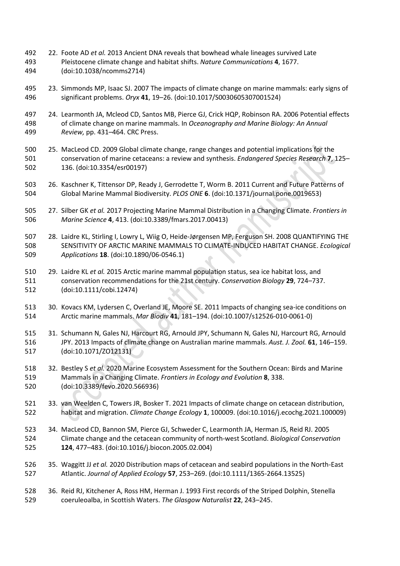- 22. Foote AD *et al.* 2013 Ancient DNA reveals that bowhead whale lineages survived Late Pleistocene climate change and habitat shifts. *Nature Communications* **4**, 1677. (doi:10.1038/ncomms2714)
- 23. Simmonds MP, Isaac SJ. 2007 The impacts of climate change on marine mammals: early signs of significant problems. *Oryx* **41**, 19–26. (doi:10.1017/S0030605307001524)
- 24. Learmonth JA, Mcleod CD, Santos MB, Pierce GJ, Crick HQP, Robinson RA. 2006 Potential effects of climate change on marine mammals. In *Oceanography and Marine Biology: An Annual Review,* pp. 431–464. CRC Press.
- 25. MacLeod CD. 2009 Global climate change, range changes and potential implications for the conservation of marine cetaceans: a review and synthesis. *Endangered Species Research* **7**, 125– 136. (doi:10.3354/esr00197)
- 26. Kaschner K, Tittensor DP, Ready J, Gerrodette T, Worm B. 2011 Current and Future Patterns of Global Marine Mammal Biodiversity. *PLOS ONE* **6**. (doi:10.1371/journal.pone.0019653)
- 27. Silber GK *et al.* 2017 Projecting Marine Mammal Distribution in a Changing Climate. *Frontiers in Marine Science* **4**, 413. (doi:10.3389/fmars.2017.00413)
- 28. Laidre KL, Stirling I, Lowry L, Wiig O, Heide-Jørgensen MP, Ferguson SH. 2008 QUANTIFYING THE SENSITIVITY OF ARCTIC MARINE MAMMALS TO CLIMATE-INDUCED HABITAT CHANGE. *Ecological Applications* **18**. (doi:10.1890/06-0546.1)
- 29. Laidre KL *et al.* 2015 Arctic marine mammal population status, sea ice habitat loss, and conservation recommendations for the 21st century. *Conservation Biology* **29**, 724–737. (doi:10.1111/cobi.12474)
- 30. Kovacs KM, Lydersen C, Overland JE, Moore SE. 2011 Impacts of changing sea-ice conditions on Arctic marine mammals. *Mar Biodiv* **41**, 181–194. (doi:10.1007/s12526-010-0061-0)
- 31. Schumann N, Gales NJ, Harcourt RG, Arnould JPY, Schumann N, Gales NJ, Harcourt RG, Arnould JPY. 2013 Impacts of climate change on Australian marine mammals. *Aust. J. Zool.* **61**, 146–159. (doi:10.1071/ZO12131)
- 32. Bestley S *et al.* 2020 Marine Ecosystem Assessment for the Southern Ocean: Birds and Marine Mammals in a Changing Climate. *Frontiers in Ecology and Evolution* **8**, 338. (doi:10.3389/fevo.2020.566936)
- 33. van Weelden C, Towers JR, Bosker T. 2021 Impacts of climate change on cetacean distribution, habitat and migration. *Climate Change Ecology* **1**, 100009. (doi:10.1016/j.ecochg.2021.100009)
- 34. MacLeod CD, Bannon SM, Pierce GJ, Schweder C, Learmonth JA, Herman JS, Reid RJ. 2005 Climate change and the cetacean community of north-west Scotland. *Biological Conservation* **124**, 477–483. (doi:10.1016/j.biocon.2005.02.004)
- 35. Waggitt JJ *et al.* 2020 Distribution maps of cetacean and seabird populations in the North-East Atlantic. *Journal of Applied Ecology* **57**, 253–269. (doi:10.1111/1365-2664.13525)
- 36. Reid RJ, Kitchener A, Ross HM, Herman J. 1993 First records of the Striped Dolphin, Stenella coeruleoalba, in Scottish Waters. *The Glasgow Naturalist* **22**, 243–245.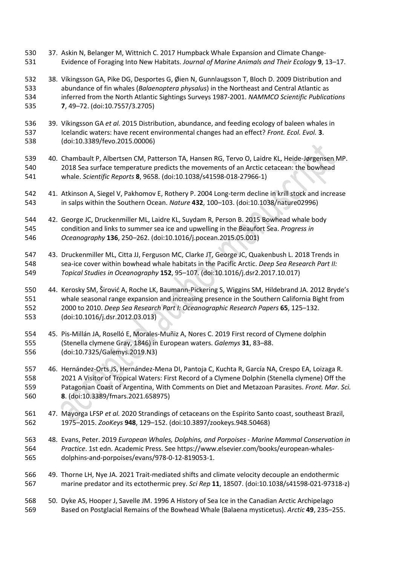- 37. Askin N, Belanger M, Wittnich C. 2017 Humpback Whale Expansion and Climate Change-Evidence of Foraging Into New Habitats. *Journal of Marine Animals and Their Ecology* **9**, 13–17.
- 38. Víkingsson GA, Pike DG, Desportes G, Øien N, Gunnlaugsson T, Bloch D. 2009 Distribution and abundance of fin whales (*Balaenoptera physalus*) in the Northeast and Central Atlantic as inferred from the North Atlantic Sightings Surveys 1987-2001. *NAMMCO Scientific Publications* **7**, 49–72. (doi:10.7557/3.2705)
- 39. Víkingsson GA *et al.* 2015 Distribution, abundance, and feeding ecology of baleen whales in Icelandic waters: have recent environmental changes had an effect? *Front. Ecol. Evol.* **3**. (doi:10.3389/fevo.2015.00006)
- 40. Chambault P, Albertsen CM, Patterson TA, Hansen RG, Tervo O, Laidre KL, Heide-Jørgensen MP. 2018 Sea surface temperature predicts the movements of an Arctic cetacean: the bowhead whale. *Scientific Reports* **8**, 9658. (doi:10.1038/s41598-018-27966-1)
- 41. Atkinson A, Siegel V, Pakhomov E, Rothery P. 2004 Long-term decline in krill stock and increase in salps within the Southern Ocean. *Nature* **432**, 100–103. (doi:10.1038/nature02996)
- 42. George JC, Druckenmiller ML, Laidre KL, Suydam R, Person B. 2015 Bowhead whale body condition and links to summer sea ice and upwelling in the Beaufort Sea. *Progress in Oceanography* **136**, 250–262. (doi:10.1016/j.pocean.2015.05.001)
- 43. Druckenmiller ML, Citta JJ, Ferguson MC, Clarke JT, George JC, Quakenbush L. 2018 Trends in sea-ice cover within bowhead whale habitats in the Pacific Arctic. *Deep Sea Research Part II: Topical Studies in Oceanography* **152**, 95–107. (doi:10.1016/j.dsr2.2017.10.017)
- 44. Kerosky SM, Širović A, Roche LK, Baumann-Pickering S, Wiggins SM, Hildebrand JA. 2012 Bryde's whale seasonal range expansion and increasing presence in the Southern California Bight from 2000 to 2010. *Deep Sea Research Part I: Oceanographic Research Papers* **65**, 125–132. (doi:10.1016/j.dsr.2012.03.013)
- 45. Pis-Millán JA, Roselló E, Morales-Muñiz A, Nores C. 2019 First record of Clymene dolphin (Stenella clymene Gray, 1846) in European waters. *Galemys* **31**, 83–88. (doi:10.7325/Galemys.2019.N3)
- 46. Hernández-Orts JS, Hernández-Mena DI, Pantoja C, Kuchta R, García NA, Crespo EA, Loizaga R. 2021 A Visitor of Tropical Waters: First Record of a Clymene Dolphin (Stenella clymene) Off the Patagonian Coast of Argentina, With Comments on Diet and Metazoan Parasites. *Front. Mar. Sci.* **8**. (doi:10.3389/fmars.2021.658975)
- 47. Mayorga LFSP *et al.* 2020 Strandings of cetaceans on the Espírito Santo coast, southeast Brazil, 1975–2015. *ZooKeys* **948**, 129–152. (doi:10.3897/zookeys.948.50468)
- 48. Evans, Peter. 2019 *European Whales, Dolphins, and Porpoises - Marine Mammal Conservation in Practice*. 1st edn. Academic Press. See https://www.elsevier.com/books/european-whales-dolphins-and-porpoises/evans/978-0-12-819053-1.
- 49. Thorne LH, Nye JA. 2021 Trait-mediated shifts and climate velocity decouple an endothermic marine predator and its ectothermic prey. *Sci Rep* **11**, 18507. (doi:10.1038/s41598-021-97318-z)
- 50. Dyke AS, Hooper J, Savelle JM. 1996 A History of Sea Ice in the Canadian Arctic Archipelago Based on Postglacial Remains of the Bowhead Whale (Balaena mysticetus). *Arctic* **49**, 235–255.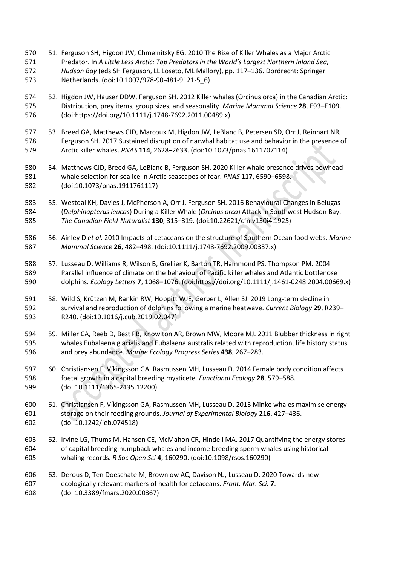- 51. Ferguson SH, Higdon JW, Chmelnitsky EG. 2010 The Rise of Killer Whales as a Major Arctic Predator. In *A Little Less Arctic: Top Predators in the World's Largest Northern Inland Sea, Hudson Bay* (eds SH Ferguson, LL Loseto, ML Mallory), pp. 117–136. Dordrecht: Springer Netherlands. (doi:10.1007/978-90-481-9121-5\_6)
- 52. Higdon JW, Hauser DDW, Ferguson SH. 2012 Killer whales (Orcinus orca) in the Canadian Arctic: Distribution, prey items, group sizes, and seasonality. *Marine Mammal Science* **28**, E93–E109. (doi:https://doi.org/10.1111/j.1748-7692.2011.00489.x)
- 53. Breed GA, Matthews CJD, Marcoux M, Higdon JW, LeBlanc B, Petersen SD, Orr J, Reinhart NR, Ferguson SH. 2017 Sustained disruption of narwhal habitat use and behavior in the presence of Arctic killer whales. *PNAS* **114**, 2628–2633. (doi:10.1073/pnas.1611707114)
- 54. Matthews CJD, Breed GA, LeBlanc B, Ferguson SH. 2020 Killer whale presence drives bowhead whale selection for sea ice in Arctic seascapes of fear. *PNAS* **117**, 6590–6598. (doi:10.1073/pnas.1911761117)
- 55. Westdal KH, Davies J, McPherson A, Orr J, Ferguson SH. 2016 Behavioural Changes in Belugas (*Delphinapterus leucas*) During a Killer Whale (*Orcinus orca*) Attack in Southwest Hudson Bay. *The Canadian Field-Naturalist* **130**, 315–319. (doi:10.22621/cfn.v130i4.1925)
- 56. Ainley D *et al.* 2010 Impacts of cetaceans on the structure of Southern Ocean food webs. *Marine Mammal Science* **26**, 482–498. (doi:10.1111/j.1748-7692.2009.00337.x)
- 57. Lusseau D, Williams R, Wilson B, Grellier K, Barton TR, Hammond PS, Thompson PM. 2004 Parallel influence of climate on the behaviour of Pacific killer whales and Atlantic bottlenose dolphins. *Ecology Letters* **7**, 1068–1076. (doi:https://doi.org/10.1111/j.1461-0248.2004.00669.x)
- 58. Wild S, Krützen M, Rankin RW, Hoppitt WJE, Gerber L, Allen SJ. 2019 Long-term decline in survival and reproduction of dolphins following a marine heatwave. *Current Biology* **29**, R239– R240. (doi:10.1016/j.cub.2019.02.047)
- 59. Miller CA, Reeb D, Best PB, Knowlton AR, Brown MW, Moore MJ. 2011 Blubber thickness in right whales Eubalaena glacialis and Eubalaena australis related with reproduction, life history status and prey abundance. *Marine Ecology Progress Series* **438**, 267–283.
- 60. Christiansen F, Víkingsson GA, Rasmussen MH, Lusseau D. 2014 Female body condition affects foetal growth in a capital breeding mysticete. *Functional Ecology* **28**, 579–588. (doi:10.1111/1365-2435.12200)
- 61. Christiansen F, Víkingsson GA, Rasmussen MH, Lusseau D. 2013 Minke whales maximise energy storage on their feeding grounds. *Journal of Experimental Biology* **216**, 427–436. (doi:10.1242/jeb.074518)
- 62. Irvine LG, Thums M, Hanson CE, McMahon CR, Hindell MA. 2017 Quantifying the energy stores of capital breeding humpback whales and income breeding sperm whales using historical whaling records. *R Soc Open Sci* **4**, 160290. (doi:10.1098/rsos.160290)
- 63. Derous D, Ten Doeschate M, Brownlow AC, Davison NJ, Lusseau D. 2020 Towards new ecologically relevant markers of health for cetaceans. *Front. Mar. Sci.* **7**. (doi:10.3389/fmars.2020.00367)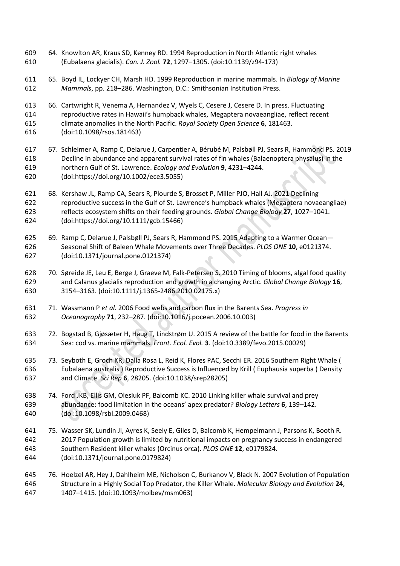- 64. Knowlton AR, Kraus SD, Kenney RD. 1994 Reproduction in North Atlantic right whales (Eubalaena glacialis). *Can. J. Zool.* **72**, 1297–1305. (doi:10.1139/z94-173)
- 65. Boyd IL, Lockyer CH, Marsh HD. 1999 Reproduction in marine mammals. In *Biology of Marine Mammals*, pp. 218–286. Washington, D.C.: Smithsonian Institution Press.
- 66. Cartwright R, Venema A, Hernandez V, Wyels C, Cesere J, Cesere D. In press. Fluctuating reproductive rates in Hawaii's humpback whales, Megaptera novaeangliae, reflect recent climate anomalies in the North Pacific. *Royal Society Open Science* **6**, 181463. (doi:10.1098/rsos.181463)
- 67. Schleimer A, Ramp C, Delarue J, Carpentier A, Bérubé M, Palsbøll PJ, Sears R, Hammond PS. 2019 Decline in abundance and apparent survival rates of fin whales (Balaenoptera physalus) in the northern Gulf of St. Lawrence. *Ecology and Evolution* **9**, 4231–4244. (doi:https://doi.org/10.1002/ece3.5055)
- 68. Kershaw JL, Ramp CA, Sears R, Plourde S, Brosset P, Miller PJO, Hall AJ. 2021 Declining reproductive success in the Gulf of St. Lawrence's humpback whales (Megaptera novaeangliae) reflects ecosystem shifts on their feeding grounds. *Global Change Biology* **27**, 1027–1041. (doi:https://doi.org/10.1111/gcb.15466)
- 69. Ramp C, Delarue J, Palsbøll PJ, Sears R, Hammond PS. 2015 Adapting to a Warmer Ocean— Seasonal Shift of Baleen Whale Movements over Three Decades. *PLOS ONE* **10**, e0121374. (doi:10.1371/journal.pone.0121374)
- 70. Søreide JE, Leu E, Berge J, Graeve M, Falk-Petersen S. 2010 Timing of blooms, algal food quality and Calanus glacialis reproduction and growth in a changing Arctic. *Global Change Biology* **16**, 3154–3163. (doi:10.1111/j.1365-2486.2010.02175.x)
- 71. Wassmann P *et al.* 2006 Food webs and carbon flux in the Barents Sea. *Progress in Oceanography* **71**, 232–287. (doi:10.1016/j.pocean.2006.10.003)
- 72. Bogstad B, Gjøsæter H, Haug T, Lindstrøm U. 2015 A review of the battle for food in the Barents Sea: cod vs. marine mammals. *Front. Ecol. Evol.* **3**. (doi:10.3389/fevo.2015.00029)
- 73. Seyboth E, Groch KR, Dalla Rosa L, Reid K, Flores PAC, Secchi ER. 2016 Southern Right Whale ( Eubalaena australis ) Reproductive Success is Influenced by Krill ( Euphausia superba ) Density and Climate. *Sci Rep* **6**, 28205. (doi:10.1038/srep28205)
- 74. Ford JKB, Ellis GM, Olesiuk PF, Balcomb KC. 2010 Linking killer whale survival and prey abundance: food limitation in the oceans' apex predator? *Biology Letters* **6**, 139–142. (doi:10.1098/rsbl.2009.0468)
- 75. Wasser SK, Lundin JI, Ayres K, Seely E, Giles D, Balcomb K, Hempelmann J, Parsons K, Booth R. 2017 Population growth is limited by nutritional impacts on pregnancy success in endangered Southern Resident killer whales (Orcinus orca). *PLOS ONE* **12**, e0179824. (doi:10.1371/journal.pone.0179824)
- 76. Hoelzel AR, Hey J, Dahlheim ME, Nicholson C, Burkanov V, Black N. 2007 Evolution of Population Structure in a Highly Social Top Predator, the Killer Whale. *Molecular Biology and Evolution* **24**, 1407–1415. (doi:10.1093/molbev/msm063)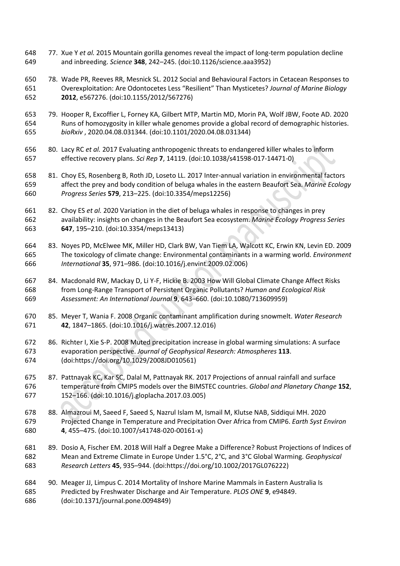- 77. Xue Y *et al.* 2015 Mountain gorilla genomes reveal the impact of long-term population decline and inbreeding. *Science* **348**, 242–245. (doi:10.1126/science.aaa3952)
- 78. Wade PR, Reeves RR, Mesnick SL. 2012 Social and Behavioural Factors in Cetacean Responses to Overexploitation: Are Odontocetes Less "Resilient" Than Mysticetes? *Journal of Marine Biology* **2012**, e567276. (doi:10.1155/2012/567276)
- 79. Hooper R, Excoffier L, Forney KA, Gilbert MTP, Martin MD, Morin PA, Wolf JBW, Foote AD. 2020 Runs of homozygosity in killer whale genomes provide a global record of demographic histories. *bioRxiv* , 2020.04.08.031344. (doi:10.1101/2020.04.08.031344)
- 80. Lacy RC *et al.* 2017 Evaluating anthropogenic threats to endangered killer whales to inform effective recovery plans. *Sci Rep* **7**, 14119. (doi:10.1038/s41598-017-14471-0)
- 81. Choy ES, Rosenberg B, Roth JD, Loseto LL. 2017 Inter-annual variation in environmental factors affect the prey and body condition of beluga whales in the eastern Beaufort Sea. *Marine Ecology Progress Series* **579**, 213–225. (doi:10.3354/meps12256)
- 82. Choy ES *et al.* 2020 Variation in the diet of beluga whales in response to changes in prey availability: insights on changes in the Beaufort Sea ecosystem. *Marine Ecology Progress Series* **647**, 195–210. (doi:10.3354/meps13413)
- 83. Noyes PD, McElwee MK, Miller HD, Clark BW, Van Tiem LA, Walcott KC, Erwin KN, Levin ED. 2009 The toxicology of climate change: Environmental contaminants in a warming world. *Environment International* **35**, 971–986. (doi:10.1016/j.envint.2009.02.006)
- 84. Macdonald RW, Mackay D, Li Y-F, Hickie B. 2003 How Will Global Climate Change Affect Risks from Long-Range Transport of Persistent Organic Pollutants? *Human and Ecological Risk Assessment: An International Journal* **9**, 643–660. (doi:10.1080/713609959)
- 85. Meyer T, Wania F. 2008 Organic contaminant amplification during snowmelt. *Water Research* **42**, 1847–1865. (doi:10.1016/j.watres.2007.12.016)
- 86. Richter I, Xie S-P. 2008 Muted precipitation increase in global warming simulations: A surface evaporation perspective. *Journal of Geophysical Research: Atmospheres* **113**. (doi:https://doi.org/10.1029/2008JD010561)
- 87. Pattnayak KC, Kar SC, Dalal M, Pattnayak RK. 2017 Projections of annual rainfall and surface temperature from CMIP5 models over the BIMSTEC countries. *Global and Planetary Change* **152**, 152–166. (doi:10.1016/j.gloplacha.2017.03.005)
- 88. Almazroui M, Saeed F, Saeed S, Nazrul Islam M, Ismail M, Klutse NAB, Siddiqui MH. 2020 Projected Change in Temperature and Precipitation Over Africa from CMIP6. *Earth Syst Environ* **4**, 455–475. (doi:10.1007/s41748-020-00161-x)
- 89. Dosio A, Fischer EM. 2018 Will Half a Degree Make a Difference? Robust Projections of Indices of Mean and Extreme Climate in Europe Under 1.5°C, 2°C, and 3°C Global Warming. *Geophysical Research Letters* **45**, 935–944. (doi:https://doi.org/10.1002/2017GL076222)
- 90. Meager JJ, Limpus C. 2014 Mortality of Inshore Marine Mammals in Eastern Australia Is Predicted by Freshwater Discharge and Air Temperature. *PLOS ONE* **9**, e94849. (doi:10.1371/journal.pone.0094849)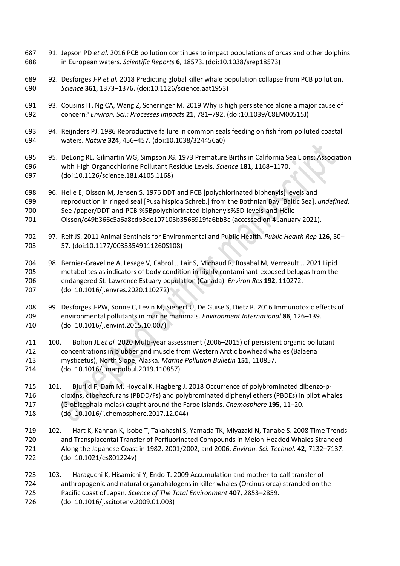- 91. Jepson PD *et al.* 2016 PCB pollution continues to impact populations of orcas and other dolphins in European waters. *Scientific Reports* **6**, 18573. (doi:10.1038/srep18573)
- 92. Desforges J-P *et al.* 2018 Predicting global killer whale population collapse from PCB pollution. *Science* **361**, 1373–1376. (doi:10.1126/science.aat1953)
- 93. Cousins IT, Ng CA, Wang Z, Scheringer M. 2019 Why is high persistence alone a major cause of concern? *Environ. Sci.: Processes Impacts* **21**, 781–792. (doi:10.1039/C8EM00515J)
- 94. Reijnders PJ. 1986 Reproductive failure in common seals feeding on fish from polluted coastal waters. *Nature* **324**, 456–457. (doi:10.1038/324456a0)
- 95. DeLong RL, Gilmartin WG, Simpson JG. 1973 Premature Births in California Sea Lions: Association with High Organochlorine Pollutant Residue Levels. *Science* **181**, 1168–1170. (doi:10.1126/science.181.4105.1168)
- 96. Helle E, Olsson M, Jensen S. 1976 DDT and PCB [polychlorinated biphenyls] levels and reproduction in ringed seal [Pusa hispida Schreb.] from the Bothnian Bay [Baltic Sea]. *undefined*. See /paper/DDT-and-PCB-%5Bpolychlorinated-biphenyls%5D-levels-and-Helle-
- Olsson/c49b366c5a6a8cdb3de107105b3566919fa6bb3c (accessed on 4 January 2021).
- 97. Reif JS. 2011 Animal Sentinels for Environmental and Public Health. *Public Health Rep* **126**, 50– 57. (doi:10.1177/00333549111260S108)
- 98. Bernier-Graveline A, Lesage V, Cabrol J, Lair S, Michaud R, Rosabal M, Verreault J. 2021 Lipid metabolites as indicators of body condition in highly contaminant-exposed belugas from the endangered St. Lawrence Estuary population (Canada). *Environ Res* **192**, 110272. (doi:10.1016/j.envres.2020.110272)
- 99. Desforges J-PW, Sonne C, Levin M, Siebert U, De Guise S, Dietz R. 2016 Immunotoxic effects of environmental pollutants in marine mammals. *Environment International* **86**, 126–139. (doi:10.1016/j.envint.2015.10.007)
- 100. Bolton JL *et al.* 2020 Multi-year assessment (2006–2015) of persistent organic pollutant concentrations in blubber and muscle from Western Arctic bowhead whales (Balaena mysticetus), North Slope, Alaska. *Marine Pollution Bulletin* **151**, 110857. (doi:10.1016/j.marpolbul.2019.110857)
- 101. Bjurlid F, Dam M, Hoydal K, Hagberg J. 2018 Occurrence of polybrominated dibenzo-p- dioxins, dibenzofurans (PBDD/Fs) and polybrominated diphenyl ethers (PBDEs) in pilot whales (Globicephala melas) caught around the Faroe Islands. *Chemosphere* **195**, 11–20. (doi:10.1016/j.chemosphere.2017.12.044)
- 102. Hart K, Kannan K, Isobe T, Takahashi S, Yamada TK, Miyazaki N, Tanabe S. 2008 Time Trends and Transplacental Transfer of Perfluorinated Compounds in Melon-Headed Whales Stranded Along the Japanese Coast in 1982, 2001/2002, and 2006. *Environ. Sci. Technol.* **42**, 7132–7137. (doi:10.1021/es801224v)
- 103. Haraguchi K, Hisamichi Y, Endo T. 2009 Accumulation and mother-to-calf transfer of anthropogenic and natural organohalogens in killer whales (Orcinus orca) stranded on the Pacific coast of Japan. *Science of The Total Environment* **407**, 2853–2859.
- (doi:10.1016/j.scitotenv.2009.01.003)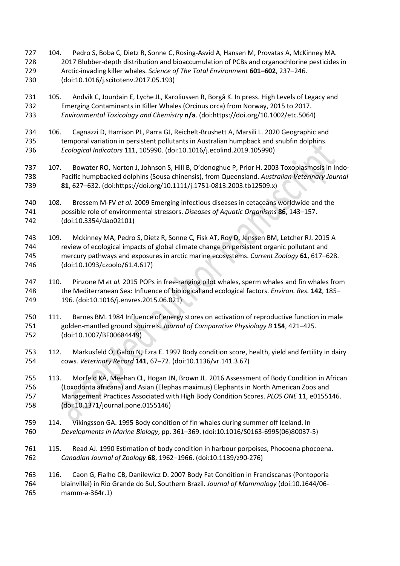- 104. Pedro S, Boba C, Dietz R, Sonne C, Rosing-Asvid A, Hansen M, Provatas A, McKinney MA. 2017 Blubber-depth distribution and bioaccumulation of PCBs and organochlorine pesticides in Arctic-invading killer whales. *Science of The Total Environment* **601–602**, 237–246. (doi:10.1016/j.scitotenv.2017.05.193)
- 105. Andvik C, Jourdain E, Lyche JL, Karoliussen R, Borgå K. In press. High Levels of Legacy and Emerging Contaminants in Killer Whales (Orcinus orca) from Norway, 2015 to 2017. *Environmental Toxicology and Chemistry* **n/a**. (doi:https://doi.org/10.1002/etc.5064)
- 106. Cagnazzi D, Harrison PL, Parra GJ, Reichelt-Brushett A, Marsili L. 2020 Geographic and temporal variation in persistent pollutants in Australian humpback and snubfin dolphins. *Ecological Indicators* **111**, 105990. (doi:10.1016/j.ecolind.2019.105990)
- 107. Bowater RO, Norton J, Johnson S, Hill B, O'donoghue P, Prior H. 2003 Toxoplasmosis in Indo- Pacific humpbacked dolphins (Sousa chinensis), from Queensland. *Australian Veterinary Journal* **81**, 627–632. (doi:https://doi.org/10.1111/j.1751-0813.2003.tb12509.x)
- 108. Bressem M-FV *et al.* 2009 Emerging infectious diseases in cetaceans worldwide and the possible role of environmental stressors. *Diseases of Aquatic Organisms* **86**, 143–157. (doi:10.3354/dao02101)
- 109. Mckinney MA, Pedro S, Dietz R, Sonne C, Fisk AT, Roy D, Jenssen BM, Letcher RJ. 2015 A review of ecological impacts of global climate change on persistent organic pollutant and mercury pathways and exposures in arctic marine ecosystems. *Current Zoology* **61**, 617–628. (doi:10.1093/czoolo/61.4.617)
- 110. Pinzone M *et al.* 2015 POPs in free-ranging pilot whales, sperm whales and fin whales from the Mediterranean Sea: Influence of biological and ecological factors. *Environ. Res.* **142**, 185– 196. (doi:10.1016/j.envres.2015.06.021)
- 111. Barnes BM. 1984 Influence of energy stores on activation of reproductive function in male golden-mantled ground squirrels. *Journal of Comparative Physiology B* **154**, 421–425. (doi:10.1007/BF00684449)
- 112. Markusfeld O, Galon N, Ezra E. 1997 Body condition score, health, yield and fertility in dairy cows. *Veterinary Record* **141**, 67–72. (doi:10.1136/vr.141.3.67)
- 113. Morfeld KA, Meehan CL, Hogan JN, Brown JL. 2016 Assessment of Body Condition in African (Loxodonta africana) and Asian (Elephas maximus) Elephants in North American Zoos and Management Practices Associated with High Body Condition Scores. *PLOS ONE* **11**, e0155146. (doi:10.1371/journal.pone.0155146)
- 114. Víkingsson GA. 1995 Body condition of fin whales during summer off Iceland. In *Developments in Marine Biology*, pp. 361–369. (doi:10.1016/S0163-6995(06)80037-5)
- 115. Read AJ. 1990 Estimation of body condition in harbour porpoises, Phocoena phocoena. *Canadian Journal of Zoology* **68**, 1962–1966. (doi:10.1139/z90-276)
- 116. Caon G, Fialho CB, Danilewicz D. 2007 Body Fat Condition in Franciscanas (Pontoporia blainvillei) in Rio Grande do Sul, Southern Brazil. *Journal of Mammalogy* (doi:10.1644/06- mamm-a-364r.1)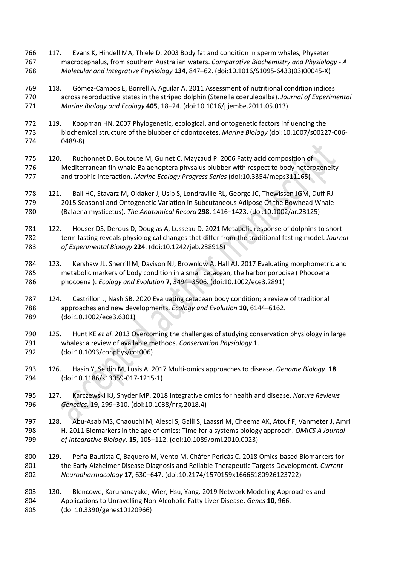- 117. Evans K, Hindell MA, Thiele D. 2003 Body fat and condition in sperm whales, Physeter macrocephalus, from southern Australian waters. *Comparative Biochemistry and Physiology - A Molecular and Integrative Physiology* **134**, 847–62. (doi:10.1016/S1095-6433(03)00045-X)
- 118. Gómez-Campos E, Borrell A, Aguilar A. 2011 Assessment of nutritional condition indices across reproductive states in the striped dolphin (Stenella coeruleoalba). *Journal of Experimental Marine Biology and Ecology* **405**, 18–24. (doi:10.1016/j.jembe.2011.05.013)
- 119. Koopman HN. 2007 Phylogenetic, ecological, and ontogenetic factors influencing the biochemical structure of the blubber of odontocetes. *Marine Biology* (doi:10.1007/s00227-006- 0489-8)
- 120. Ruchonnet D, Boutoute M, Guinet C, Mayzaud P. 2006 Fatty acid composition of Mediterranean fin whale Balaenoptera physalus blubber with respect to body heterogeneity and trophic interaction. *Marine Ecology Progress Series* (doi:10.3354/meps311165)
- 121. Ball HC, Stavarz M, Oldaker J, Usip S, Londraville RL, George JC, Thewissen JGM, Duff RJ. 2015 Seasonal and Ontogenetic Variation in Subcutaneous Adipose Of the Bowhead Whale (Balaena mysticetus). *The Anatomical Record* **298**, 1416–1423. (doi:10.1002/ar.23125)
- 122. Houser DS, Derous D, Douglas A, Lusseau D. 2021 Metabolic response of dolphins to short- term fasting reveals physiological changes that differ from the traditional fasting model. *Journal of Experimental Biology* **224**. (doi:10.1242/jeb.238915)
- 123. Kershaw JL, Sherrill M, Davison NJ, Brownlow A, Hall AJ. 2017 Evaluating morphometric and metabolic markers of body condition in a small cetacean, the harbor porpoise ( Phocoena phocoena ). *Ecology and Evolution* **7**, 3494–3506. (doi:10.1002/ece3.2891)
- 124. Castrillon J, Nash SB. 2020 Evaluating cetacean body condition; a review of traditional approaches and new developments. *Ecology and Evolution* **10**, 6144–6162. (doi:10.1002/ece3.6301)
- 125. Hunt KE *et al.* 2013 Overcoming the challenges of studying conservation physiology in large whales: a review of available methods. *Conservation Physiology* **1**. (doi:10.1093/conphys/cot006)
- 126. Hasin Y, Seldin M, Lusis A. 2017 Multi-omics approaches to disease. *Genome Biology*. **18**. (doi:10.1186/s13059-017-1215-1)
- 127. Karczewski KJ, Snyder MP. 2018 Integrative omics for health and disease. *Nature Reviews Genetics*. **19**, 299–310. (doi:10.1038/nrg.2018.4)
- 128. Abu-Asab MS, Chaouchi M, Alesci S, Galli S, Laassri M, Cheema AK, Atouf F, Vanmeter J, Amri H. 2011 Biomarkers in the age of omics: Time for a systems biology approach. *OMICS A Journal of Integrative Biology*. **15**, 105–112. (doi:10.1089/omi.2010.0023)
- 129. Peña-Bautista C, Baquero M, Vento M, Cháfer-Pericás C. 2018 Omics-based Biomarkers for the Early Alzheimer Disease Diagnosis and Reliable Therapeutic Targets Development. *Current Neuropharmacology* **17**, 630–647. (doi:10.2174/1570159x16666180926123722)
- 130. Blencowe, Karunanayake, Wier, Hsu, Yang. 2019 Network Modeling Approaches and Applications to Unravelling Non-Alcoholic Fatty Liver Disease. *Genes* **10**, 966. (doi:10.3390/genes10120966)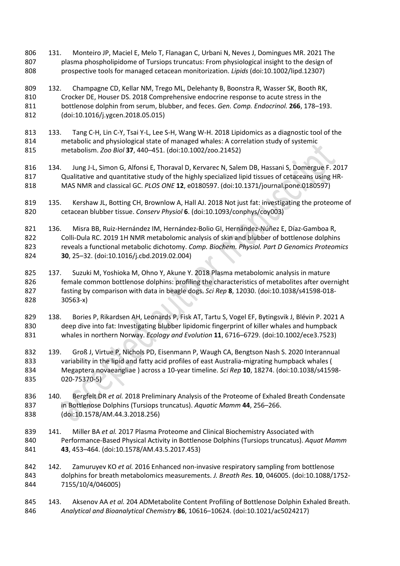- 131. Monteiro JP, Maciel E, Melo T, Flanagan C, Urbani N, Neves J, Domingues MR. 2021 The plasma phospholipidome of Tursiops truncatus: From physiological insight to the design of prospective tools for managed cetacean monitorization. *Lipids* (doi:10.1002/lipd.12307)
- 132. Champagne CD, Kellar NM, Trego ML, Delehanty B, Boonstra R, Wasser SK, Booth RK, Crocker DE, Houser DS. 2018 Comprehensive endocrine response to acute stress in the bottlenose dolphin from serum, blubber, and feces. *Gen. Comp. Endocrinol.* **266**, 178–193. (doi:10.1016/j.ygcen.2018.05.015)
- 133. Tang C-H, Lin C-Y, Tsai Y-L, Lee S-H, Wang W-H. 2018 Lipidomics as a diagnostic tool of the metabolic and physiological state of managed whales: A correlation study of systemic metabolism. *Zoo Biol* **37**, 440–451. (doi:10.1002/zoo.21452)
- 134. Jung J-L, Simon G, Alfonsi E, Thoraval D, Kervarec N, Salem DB, Hassani S, Domergue F. 2017 Qualitative and quantitative study of the highly specialized lipid tissues of cetaceans using HR-MAS NMR and classical GC. *PLOS ONE* **12**, e0180597. (doi:10.1371/journal.pone.0180597)
- 135. Kershaw JL, Botting CH, Brownlow A, Hall AJ. 2018 Not just fat: investigating the proteome of cetacean blubber tissue. *Conserv Physiol* **6**. (doi:10.1093/conphys/coy003)
- 136. Misra BB, Ruiz-Hernández IM, Hernández-Bolio GI, Hernández-Núñez E, Díaz-Gamboa R, Colli-Dula RC. 2019 1H NMR metabolomic analysis of skin and blubber of bottlenose dolphins reveals a functional metabolic dichotomy. *Comp. Biochem. Physiol. Part D Genomics Proteomics* **30**, 25–32. (doi:10.1016/j.cbd.2019.02.004)
- 137. Suzuki M, Yoshioka M, Ohno Y, Akune Y. 2018 Plasma metabolomic analysis in mature female common bottlenose dolphins: profiling the characteristics of metabolites after overnight fasting by comparison with data in beagle dogs. *Sci Rep* **8**, 12030. (doi:10.1038/s41598-018- 30563-x)
- 138. Bories P, Rikardsen AH, Leonards P, Fisk AT, Tartu S, Vogel EF, Bytingsvik J, Blévin P. 2021 A deep dive into fat: Investigating blubber lipidomic fingerprint of killer whales and humpback whales in northern Norway. *Ecology and Evolution* **11**, 6716–6729. (doi:10.1002/ece3.7523)
- 139. Groß J, Virtue P, Nichols PD, Eisenmann P, Waugh CA, Bengtson Nash S. 2020 Interannual variability in the lipid and fatty acid profiles of east Australia-migrating humpback whales ( Megaptera novaeangliae ) across a 10-year timeline. *Sci Rep* **10**, 18274. (doi:10.1038/s41598- 020-75370-5)
- 140. Bergfelt DR *et al.* 2018 Preliminary Analysis of the Proteome of Exhaled Breath Condensate in Bottlenose Dolphins (Tursiops truncatus). *Aquatic Mamm* **44**, 256–266. (doi:10.1578/AM.44.3.2018.256)
- 141. Miller BA *et al.* 2017 Plasma Proteome and Clinical Biochemistry Associated with Performance-Based Physical Activity in Bottlenose Dolphins (Tursiops truncatus). *Aquat Mamm* **43**, 453–464. (doi:10.1578/AM.43.5.2017.453)
- 142. Zamuruyev KO *et al.* 2016 Enhanced non-invasive respiratory sampling from bottlenose dolphins for breath metabolomics measurements. *J. Breath Res.* **10**, 046005. (doi:10.1088/1752- 7155/10/4/046005)
- 143. Aksenov AA *et al.* 204 ADMetabolite Content Profiling of Bottlenose Dolphin Exhaled Breath. *Analytical and Bioanalytical Chemistry* **86**, 10616–10624. (doi:10.1021/ac5024217)